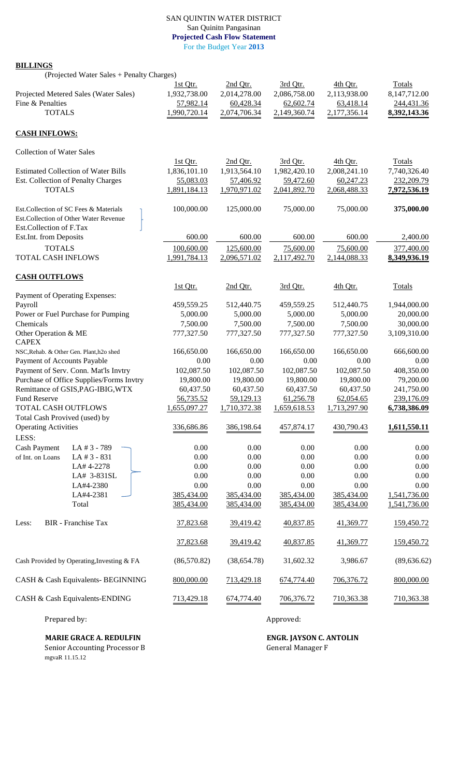## SAN QUINTIN WATER DISTRICT San Quinitn Pangasinan **Projected Cash Flow Statement** For the Budget Year **2013**

## **BILLINGS**

(Projected Water Sales + Penalty Charges) 1st Qtr. 2nd Qtr. 3rd Qtr. 4th Qtr. Totals Projected Metered Sales (Water Sales) 1,932,738.00 2,014,278.00 2,086,758.00 2,113,938.00 8,147,712.00 Fine & Penalties<br>
TOTALS<br>
TOTALS<br>
TOTALS<br>
TOTALS<br>
TOTALS<br>  $\begin{array}{cccccc}\n 57,982.14 & 60,428.34 & 62,602.74 & 63,418.14 & 244,431.36 \\
 & & 2,074,706.34 & 2,149,360.74 & 2,177,356.14 & 8,392,143.36 \\
 & & & & & & & \\
 & & & & & & & \\
 & & & & & & & & \\
 & & & & & & & & & \\
\end{array}$ TOTALS 1,990,720.14 2,074,706.34 2,149,360.74 2,177,356.14 **8,392,143.36 CASH INFLOWS:** Collection of Water Sales 1st Qtr. 2nd Qtr. 3rd Qtr. 4th Qtr. Totals Estimated Collection of Water Bills 1,836,101.10 1,913,564.10 1,982,420.10 2,008,241.10 7,740,326.40 Est. Collection of Penalty Charges 55,083.03 57,406.92 59,472.60 60,247.23 232,209.79 TOTALS 1,891,184.13 1,970,971.02 2,041,892.70 2,068,488.33 **7,972,536.19** Est.Collection of SC Fees & Materials 100,000.00 125,000.00 75,000.00 75,000.00 **375,000.00** Est.Collection of Other Water Revenue Est.Collection of F.Tax Est.Int. from Deposits 600.00 600.00 600.00 600.00 600.00 2,400.00 TOTALS 100,600.00 125,600.00 75,600.00 75,600.00 377,400.00 TOTAL CASH INFLOWS 1,991,784.13 2,096,571.02 2,117,492.70 2,144,088.33 **8,349,936.19 CASH OUTFLOWS** 1st Qtr. 2nd Qtr. 3rd Qtr. 4th Qtr. Totals Payment of Operating Expenses: Payroll 459,559.25 512,440.75 459,559.25 512,440.75 1,944,000.00 Power or Fuel Purchase for Pumping  $5,000.00$   $5,000.00$   $5,000.00$   $5,000.00$   $5,000.00$   $20,000.00$ Chemicals 7,500.00 7,500.00 7,500.00 7,500.00 30,000.00 Other Operation & ME 777,327.50 777,327.50 777,327.50 777,327.50 3,109,310.00 **CAPEX** NSC,Rehab. & Other Gen. Plant,h2o shed 166,650.00 166,650.00 166,650.00 166,650.00 166,650.00 166,600.00 Payment of Accounts Payable  $0.00$  0.00 0.00 0.00 0.00 0.00 0.00 Payment of Serv. Conn. Mat'ls Invtry 102,087.50 102,087.50 102,087.50 102,087.50 408,350.00 Purchase of Office Supplies/Forms Invtry 19,800.00 19,800.00 19,800.00 19,800.00 79,200.00 Remittance of GSIS, PAG-IBIG, WTX 60,437.50 60,437.50 60,437.50 60,437.50 241,750.00 Fund Reserve **56,735.52** 59,129.13 61,256.78 62,054.65 239,176.09 TOTAL CASH OUTFLOWS 1,655,097.27 1,710,372.38 1,659,618.53 1,713,297.90 **6,738,386.09** Total Cash Provived (used) by Operating Activities 336,686.86 386,198.64 457,874.17 430,790.43 **1,611,550.11** LESS: Cash Payment LA # 3 - 789 0.00 0.00 0.00 0.00 0.00 0.00 0.00 0.00 0.00 0.00 0.00 0.00 0.00 0.00 0.00 0.00 0.00 0.00 0.00 0.00 0.00 0.00 0.00 0.00 0 of Int. on Loans LA # 3 - 831 0.00 0.00 0.00 0.00 0.00 0.00 0.00  $LA# 4-2278$  0.00 0.00 0.00 0.00 0.00 0.00 LA#  $3-831$ SL  $\begin{bmatrix} 0.00 & 0.00 & 0.00 & 0.00 & 0.00 \end{bmatrix}$  $LA#4-2380$  0.00 0.00 0.00 0.00 0.00 0.00 LA#4-2381 385,434.00 385,434.00 385,434.00 385,434.00 1,541,736.00 Total 385,434.00 385,434.00 385,434.00 385,434.00 1,541,736.00 Less: BIR - Franchise Tax 37,823.68 39,419.42 40,837.85 41,369.77 159,450.72 37,823.68 39,419.42 40,837.85 41,369.77 159,450.72 Cash Provided by Operating,Investing & FA (86,570.82) (38,654.78) 31,602.32 3,986.67 (89,636.62) CASH & Cash Equivalents- BEGINNING 800,000.00 713,429.18 674,774.40 706,376.72 800,000.00 CASH & Cash Equivalents-ENDING 713,429.18 674,774.40 706,376.72 710,363.38 710,363.38

Prepared by: Approved: Approved: Approved: Approved: Approved: Approved: Approved: Approved: Approved:  $\overline{A}$ 

# **MARIE GRACE A. REDULFIN ENGR. IAYSON C. ANTOLIN**

Senior Accounting Processor B General Manager F mgvaR 11.15.12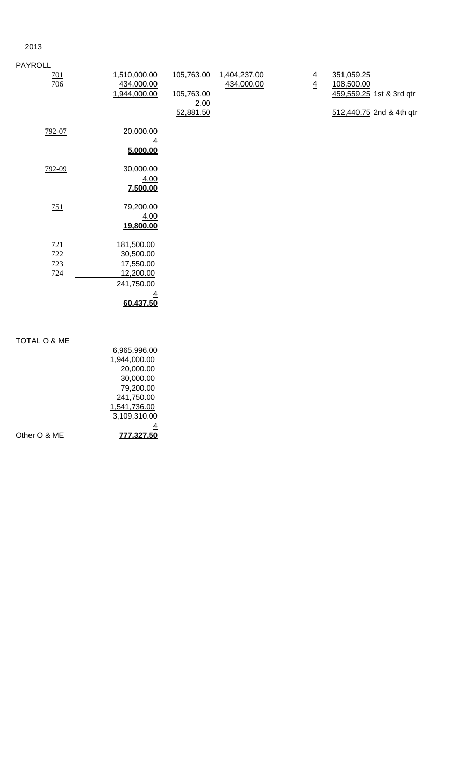## 2013

| <b>PAYROLL</b>    |                            |                    |                            |                     |                          |
|-------------------|----------------------------|--------------------|----------------------------|---------------------|--------------------------|
| <u>701</u><br>706 | 1,510,000.00<br>434,000.00 | 105,763.00         | 1,404,237.00<br>434,000.00 | 4<br>$\overline{4}$ | 351,059.25<br>108,500.00 |
|                   | 1,944,000.00               | 105,763.00<br>2.00 |                            |                     | 459,559.25 1st & 3rd qtr |
|                   |                            | 52,881.50          |                            |                     | 512,440.75 2nd & 4th qtr |
| 792-07            | 20,000.00                  |                    |                            |                     |                          |
|                   | $\overline{4}$<br>5,000.00 |                    |                            |                     |                          |
| 792-09            | 30,000.00                  |                    |                            |                     |                          |
|                   | 4.00<br>7,500.00           |                    |                            |                     |                          |
| 751               | 79,200.00                  |                    |                            |                     |                          |
|                   | 4.00<br>19,800.00          |                    |                            |                     |                          |
| 721               | 181,500.00                 |                    |                            |                     |                          |
| 722               | 30,500.00                  |                    |                            |                     |                          |
| 723               | 17,550.00                  |                    |                            |                     |                          |
| 724               | 12,200.00                  |                    |                            |                     |                          |
|                   | 241,750.00                 |                    |                            |                     |                          |
|                   | <u>4</u>                   |                    |                            |                     |                          |
|                   | 60,437.50                  |                    |                            |                     |                          |
|                   |                            |                    |                            |                     |                          |
| TOTAL O & ME      |                            |                    |                            |                     |                          |

| Other O & ME | 777.327.50   |
|--------------|--------------|
|              |              |
|              | 3,109,310.00 |
|              | 1,541,736.00 |
|              | 241,750.00   |
|              | 79,200.00    |
|              | 30,000.00    |
|              | 20,000.00    |
|              | 1,944,000.00 |
|              | 6,965,996.00 |